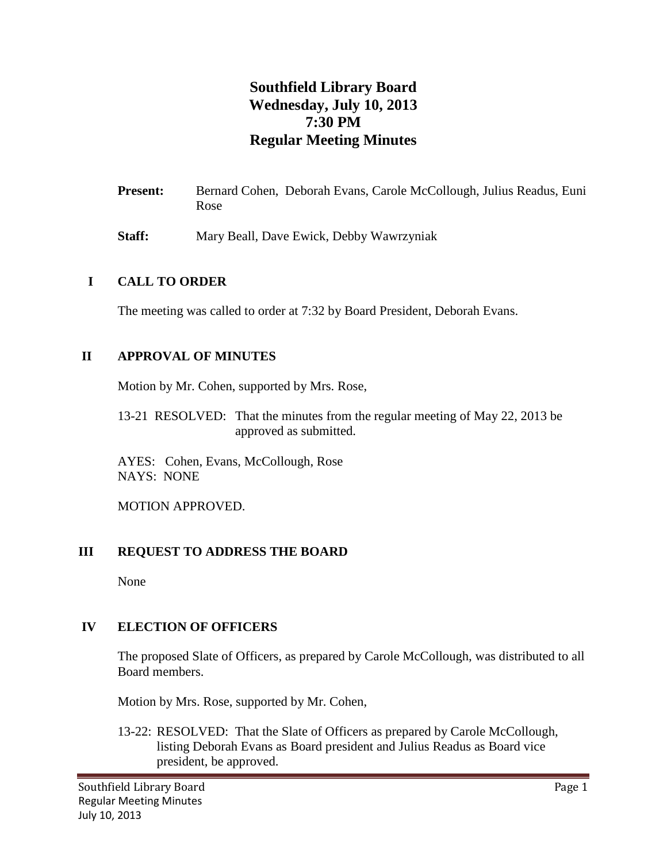# **Southfield Library Board Wednesday, July 10, 2013 7:30 PM Regular Meeting Minutes**

- Present: Bernard Cohen, Deborah Evans, Carole McCollough, Julius Readus, Euni Rose
- **Staff:** Mary Beall, Dave Ewick, Debby Wawrzyniak

## **I CALL TO ORDER**

The meeting was called to order at 7:32 by Board President, Deborah Evans.

## **II APPROVAL OF MINUTES**

Motion by Mr. Cohen, supported by Mrs. Rose,

13-21 RESOLVED: That the minutes from the regular meeting of May 22, 2013 be approved as submitted.

AYES: Cohen, Evans, McCollough, Rose NAYS: NONE

MOTION APPROVED.

# **III REQUEST TO ADDRESS THE BOARD**

None

# **IV ELECTION OF OFFICERS**

The proposed Slate of Officers, as prepared by Carole McCollough, was distributed to all Board members.

Motion by Mrs. Rose, supported by Mr. Cohen,

13-22: RESOLVED: That the Slate of Officers as prepared by Carole McCollough, listing Deborah Evans as Board president and Julius Readus as Board vice president, be approved.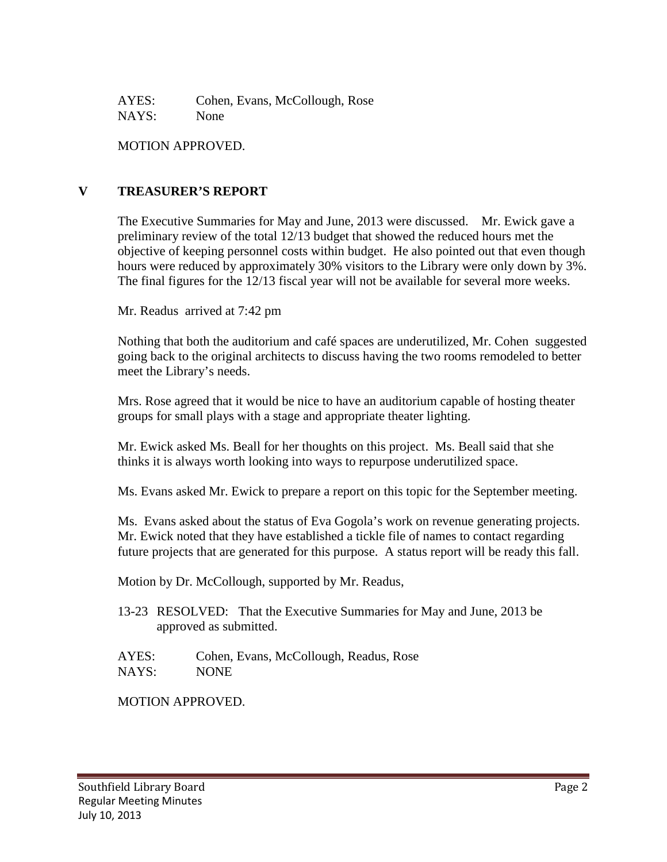AYES: Cohen, Evans, McCollough, Rose NAYS: None

MOTION APPROVED.

## **V TREASURER'S REPORT**

The Executive Summaries for May and June, 2013 were discussed. Mr. Ewick gave a preliminary review of the total 12/13 budget that showed the reduced hours met the objective of keeping personnel costs within budget. He also pointed out that even though hours were reduced by approximately 30% visitors to the Library were only down by 3%. The final figures for the 12/13 fiscal year will not be available for several more weeks.

Mr. Readus arrived at 7:42 pm

Nothing that both the auditorium and café spaces are underutilized, Mr. Cohen suggested going back to the original architects to discuss having the two rooms remodeled to better meet the Library's needs.

Mrs. Rose agreed that it would be nice to have an auditorium capable of hosting theater groups for small plays with a stage and appropriate theater lighting.

Mr. Ewick asked Ms. Beall for her thoughts on this project. Ms. Beall said that she thinks it is always worth looking into ways to repurpose underutilized space.

Ms. Evans asked Mr. Ewick to prepare a report on this topic for the September meeting.

Ms. Evans asked about the status of Eva Gogola's work on revenue generating projects. Mr. Ewick noted that they have established a tickle file of names to contact regarding future projects that are generated for this purpose. A status report will be ready this fall.

Motion by Dr. McCollough, supported by Mr. Readus,

- 13-23 RESOLVED: That the Executive Summaries for May and June, 2013 be approved as submitted.
- AYES: Cohen, Evans, McCollough, Readus, Rose NAYS: NONE

MOTION APPROVED.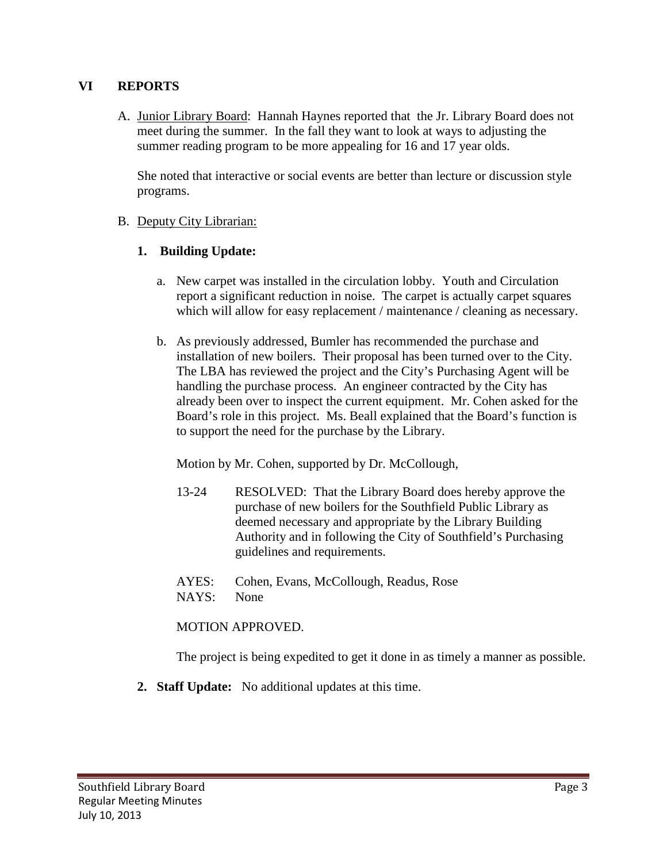#### **VI REPORTS**

A. Junior Library Board: Hannah Haynes reported that the Jr. Library Board does not meet during the summer. In the fall they want to look at ways to adjusting the summer reading program to be more appealing for 16 and 17 year olds.

She noted that interactive or social events are better than lecture or discussion style programs.

## B. Deputy City Librarian:

## **1. Building Update:**

- a. New carpet was installed in the circulation lobby. Youth and Circulation report a significant reduction in noise. The carpet is actually carpet squares which will allow for easy replacement / maintenance / cleaning as necessary.
- b. As previously addressed, Bumler has recommended the purchase and installation of new boilers. Their proposal has been turned over to the City. The LBA has reviewed the project and the City's Purchasing Agent will be handling the purchase process. An engineer contracted by the City has already been over to inspect the current equipment. Mr. Cohen asked for the Board's role in this project. Ms. Beall explained that the Board's function is to support the need for the purchase by the Library.

Motion by Mr. Cohen, supported by Dr. McCollough,

- 13-24 RESOLVED: That the Library Board does hereby approve the purchase of new boilers for the Southfield Public Library as deemed necessary and appropriate by the Library Building Authority and in following the City of Southfield's Purchasing guidelines and requirements.
- AYES: Cohen, Evans, McCollough, Readus, Rose
- NAYS: None

#### MOTION APPROVED.

The project is being expedited to get it done in as timely a manner as possible.

**2. Staff Update:** No additional updates at this time.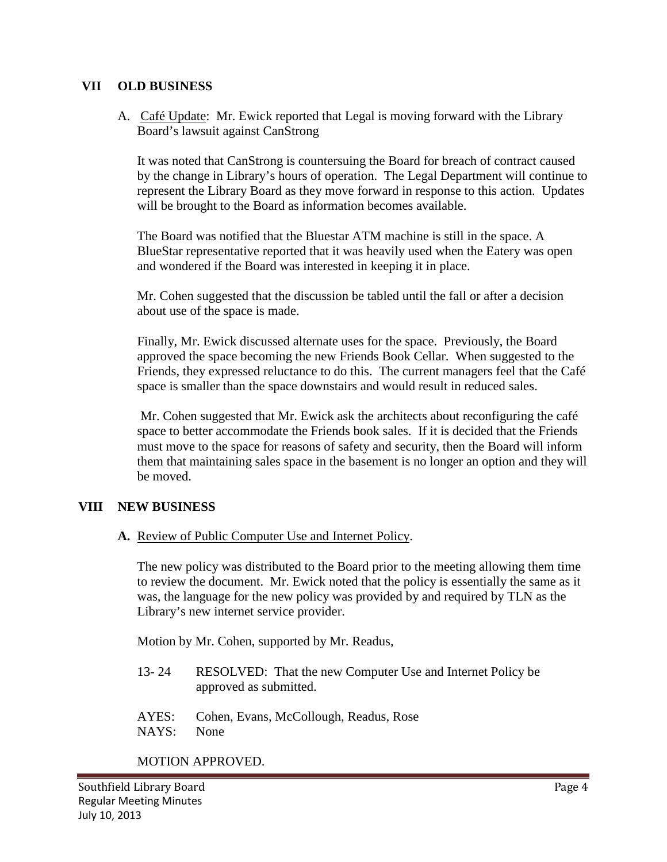#### **VII OLD BUSINESS**

A. Café Update: Mr. Ewick reported that Legal is moving forward with the Library Board's lawsuit against CanStrong

It was noted that CanStrong is countersuing the Board for breach of contract caused by the change in Library's hours of operation. The Legal Department will continue to represent the Library Board as they move forward in response to this action. Updates will be brought to the Board as information becomes available.

The Board was notified that the Bluestar ATM machine is still in the space. A BlueStar representative reported that it was heavily used when the Eatery was open and wondered if the Board was interested in keeping it in place.

Mr. Cohen suggested that the discussion be tabled until the fall or after a decision about use of the space is made.

Finally, Mr. Ewick discussed alternate uses for the space. Previously, the Board approved the space becoming the new Friends Book Cellar. When suggested to the Friends, they expressed reluctance to do this. The current managers feel that the Café space is smaller than the space downstairs and would result in reduced sales.

Mr. Cohen suggested that Mr. Ewick ask the architects about reconfiguring the café space to better accommodate the Friends book sales. If it is decided that the Friends must move to the space for reasons of safety and security, then the Board will inform them that maintaining sales space in the basement is no longer an option and they will be moved.

#### **VIII NEW BUSINESS**

**A.** Review of Public Computer Use and Internet Policy.

The new policy was distributed to the Board prior to the meeting allowing them time to review the document. Mr. Ewick noted that the policy is essentially the same as it was, the language for the new policy was provided by and required by TLN as the Library's new internet service provider.

Motion by Mr. Cohen, supported by Mr. Readus,

- 13- 24 RESOLVED: That the new Computer Use and Internet Policy be approved as submitted.
- AYES: Cohen, Evans, McCollough, Readus, Rose NAYS: None

MOTION APPROVED.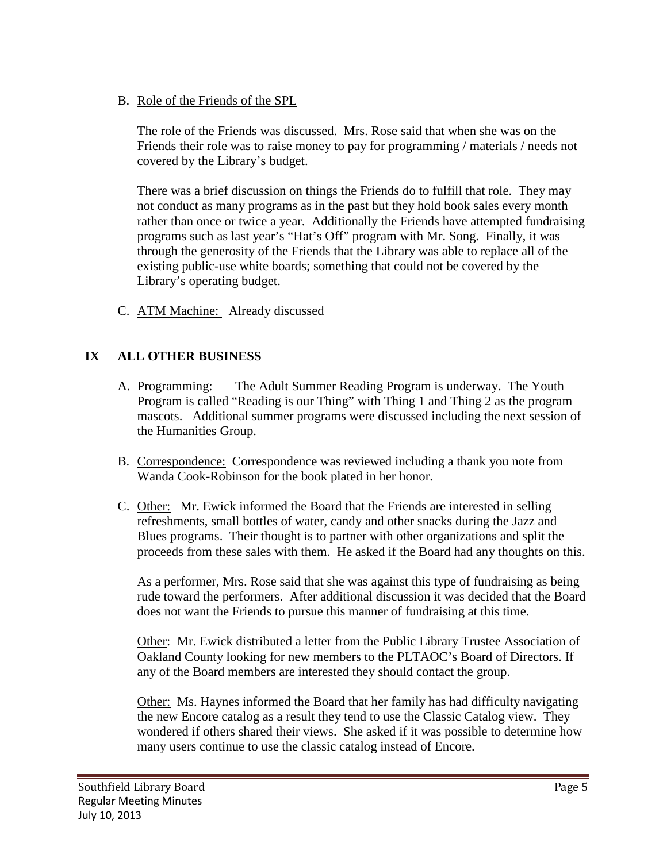B. Role of the Friends of the SPL

The role of the Friends was discussed. Mrs. Rose said that when she was on the Friends their role was to raise money to pay for programming / materials / needs not covered by the Library's budget.

There was a brief discussion on things the Friends do to fulfill that role. They may not conduct as many programs as in the past but they hold book sales every month rather than once or twice a year. Additionally the Friends have attempted fundraising programs such as last year's "Hat's Off" program with Mr. Song. Finally, it was through the generosity of the Friends that the Library was able to replace all of the existing public-use white boards; something that could not be covered by the Library's operating budget.

C. ATM Machine: Already discussed

# **IX ALL OTHER BUSINESS**

- A. Programming: The Adult Summer Reading Program is underway. The Youth Program is called "Reading is our Thing" with Thing 1 and Thing 2 as the program mascots. Additional summer programs were discussed including the next session of the Humanities Group.
- B. Correspondence: Correspondence was reviewed including a thank you note from Wanda Cook-Robinson for the book plated in her honor.
- C. Other: Mr. Ewick informed the Board that the Friends are interested in selling refreshments, small bottles of water, candy and other snacks during the Jazz and Blues programs. Their thought is to partner with other organizations and split the proceeds from these sales with them. He asked if the Board had any thoughts on this.

As a performer, Mrs. Rose said that she was against this type of fundraising as being rude toward the performers. After additional discussion it was decided that the Board does not want the Friends to pursue this manner of fundraising at this time.

Other: Mr. Ewick distributed a letter from the Public Library Trustee Association of Oakland County looking for new members to the PLTAOC's Board of Directors. If any of the Board members are interested they should contact the group.

Other: Ms. Haynes informed the Board that her family has had difficulty navigating the new Encore catalog as a result they tend to use the Classic Catalog view. They wondered if others shared their views. She asked if it was possible to determine how many users continue to use the classic catalog instead of Encore.